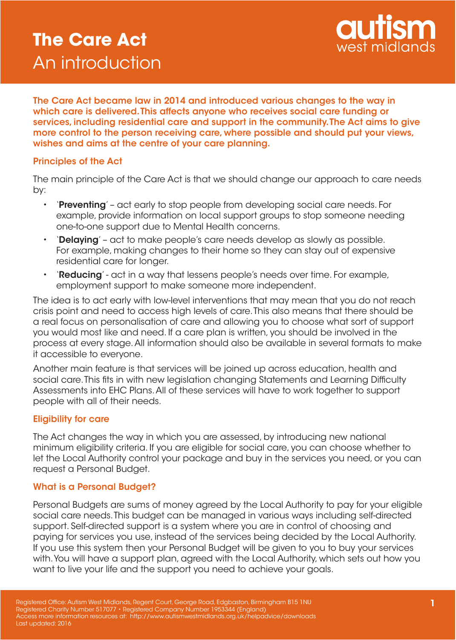# **The Care Act** An introduction



The Care Act became law in 2014 and introduced various changes to the way in which care is delivered. This affects anyone who receives social care funding or services, including residential care and support in the community. The Act aims to give more control to the person receiving care, where possible and should put your views, wishes and aims at the centre of your care planning.

#### Principles of the Act

The main principle of the Care Act is that we should change our approach to care needs by:

- 'Preventing' act early to stop people from developing social care needs. For example, provide information on local support groups to stop someone needing one-to-one support due to Mental Health concerns.
- **'Delaying'** act to make people's care needs develop as slowly as possible. For example, making changes to their home so they can stay out of expensive residential care for longer.
- 'Reducing' act in a way that lessens people's needs over time. For example, employment support to make someone more independent.

The idea is to act early with low-level interventions that may mean that you do not reach crisis point and need to access high levels of care. This also means that there should be a real focus on personalisation of care and allowing you to choose what sort of support you would most like and need. If a care plan is written, you should be involved in the process at every stage. All information should also be available in several formats to make it accessible to everyone.

Another main feature is that services will be joined up across education, health and social care. This fits in with new legislation changing Statements and Learning Difficulty Assessments into EHC Plans. All of these services will have to work together to support people with all of their needs.

## Eligibility for care

The Act changes the way in which you are assessed, by introducing new national minimum eligibility criteria. If you are eligible for social care, you can choose whether to let the Local Authority control your package and buy in the services you need, or you can request a Personal Budget.

## What is a Personal Budget?

Personal Budgets are sums of money agreed by the Local Authority to pay for your eligible social care needs. This budget can be managed in various ways including self-directed support. Self-directed support is a system where you are in control of choosing and paying for services you use, instead of the services being decided by the Local Authority. If you use this system then your Personal Budget will be given to you to buy your services with. You will have a support plan, agreed with the Local Authority, which sets out how you want to live your life and the support you need to achieve your goals.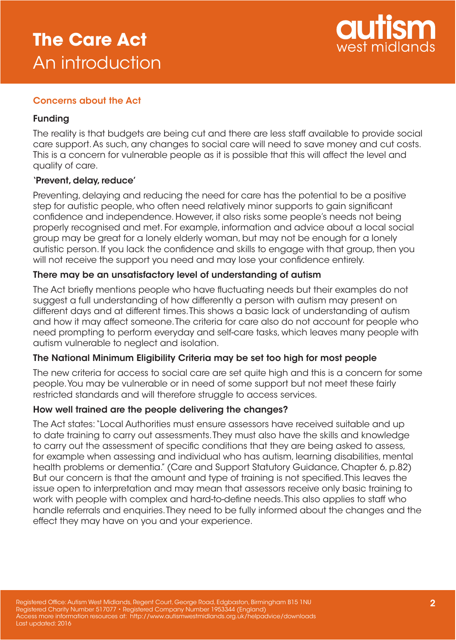# **The Care Act** An introduction



## Concerns about the Act

## Funding

The reality is that budgets are being cut and there are less staff available to provide social care support. As such, any changes to social care will need to save money and cut costs. This is a concern for vulnerable people as it is possible that this will affect the level and quality of care.

#### 'Prevent, delay, reduce'

Preventing, delaying and reducing the need for care has the potential to be a positive step for autistic people, who often need relatively minor supports to gain significant confidence and independence. However, it also risks some people's needs not being properly recognised and met. For example, information and advice about a local social group may be great for a lonely elderly woman, but may not be enough for a lonely autistic person. If you lack the confidence and skills to engage with that group, then you will not receive the support you need and may lose your confidence entirely.

## There may be an unsatisfactory level of understanding of autism

The Act briefly mentions people who have fluctuating needs but their examples do not suggest a full understanding of how differently a person with autism may present on different days and at different times. This shows a basic lack of understanding of autism and how it may affect someone. The criteria for care also do not account for people who need prompting to perform everyday and self-care tasks, which leaves many people with autism vulnerable to neglect and isolation.

## The National Minimum Eligibility Criteria may be set too high for most people

The new criteria for access to social care are set quite high and this is a concern for some people. You may be vulnerable or in need of some support but not meet these fairly restricted standards and will therefore struggle to access services.

## How well trained are the people delivering the changes?

The Act states: "Local Authorities must ensure assessors have received suitable and up to date training to carry out assessments. They must also have the skills and knowledge to carry out the assessment of specific conditions that they are being asked to assess, for example when assessing and individual who has autism, learning disabilities, mental health problems or dementia." (Care and Support Statutory Guidance, Chapter 6, p.82) But our concern is that the amount and type of training is not specified. This leaves the issue open to interpretation and may mean that assessors receive only basic training to work with people with complex and hard-to-define needs. This also applies to staff who handle referrals and enquiries. They need to be fully informed about the changes and the effect they may have on you and your experience.